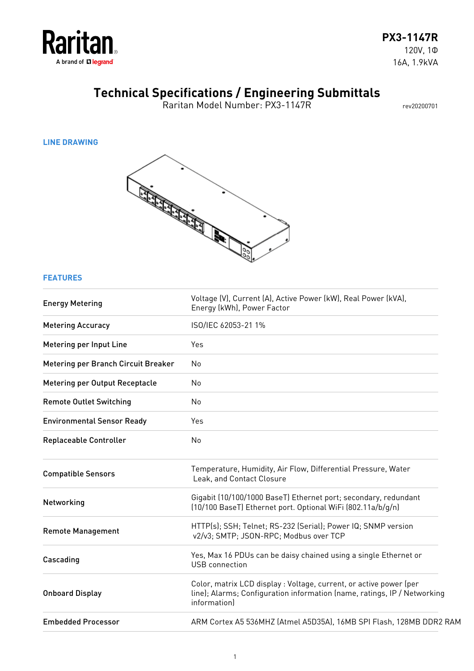

Raritan Model Number: PX3-1147R rev20200701

#### **LINE DRAWING**



#### **FEATURES**

| <b>Energy Metering</b>              | Voltage (V), Current (A), Active Power (kW), Real Power (kVA),<br>Energy (kWh), Power Factor                                                                   |
|-------------------------------------|----------------------------------------------------------------------------------------------------------------------------------------------------------------|
| <b>Metering Accuracy</b>            | ISO/IEC 62053-21 1%                                                                                                                                            |
| Metering per Input Line             | Yes                                                                                                                                                            |
| Metering per Branch Circuit Breaker | No                                                                                                                                                             |
| Metering per Output Receptacle      | N <sub>o</sub>                                                                                                                                                 |
| <b>Remote Outlet Switching</b>      | No                                                                                                                                                             |
| <b>Environmental Sensor Ready</b>   | Yes                                                                                                                                                            |
| Replaceable Controller              | No                                                                                                                                                             |
| <b>Compatible Sensors</b>           | Temperature, Humidity, Air Flow, Differential Pressure, Water<br>Leak, and Contact Closure                                                                     |
| Networking                          | Gigabit (10/100/1000 BaseT) Ethernet port; secondary, redundant<br>(10/100 BaseT) Ethernet port. Optional WiFi (802.11a/b/g/n)                                 |
| <b>Remote Management</b>            | HTTP(s); SSH; Telnet; RS-232 (Serial); Power IQ; SNMP version<br>v2/v3; SMTP; JSON-RPC; Modbus over TCP                                                        |
| Cascading                           | Yes, Max 16 PDUs can be daisy chained using a single Ethernet or<br><b>USB</b> connection                                                                      |
| <b>Onboard Display</b>              | Color, matrix LCD display : Voltage, current, or active power (per<br>line); Alarms; Configuration information (name, ratings, IP / Networking<br>information) |
| <b>Embedded Processor</b>           | ARM Cortex A5 536MHZ (Atmel A5D35A), 16MB SPI Flash, 128MB DDR2 RAM                                                                                            |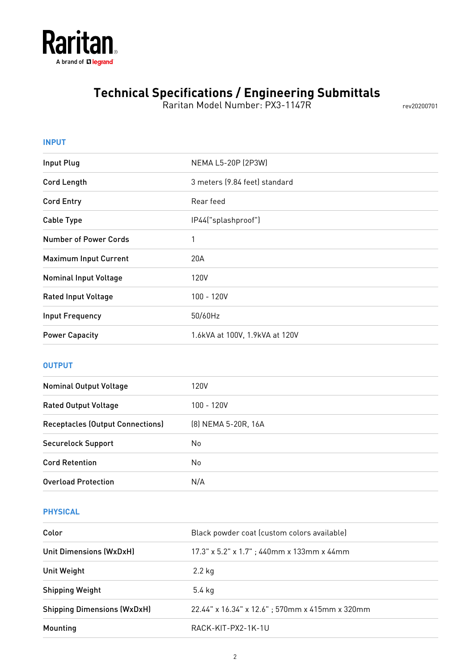

Raritan Model Number: PX3-1147R rev20200701

| <b>INPUT</b>                 |                                |  |
|------------------------------|--------------------------------|--|
| <b>Input Plug</b>            | NEMA L5-20P (2P3W)             |  |
| <b>Cord Length</b>           | 3 meters (9.84 feet) standard  |  |
| <b>Cord Entry</b>            | Rear feed                      |  |
| <b>Cable Type</b>            | IP44("splashproof")            |  |
| <b>Number of Power Cords</b> | 1                              |  |
| <b>Maximum Input Current</b> | 20A                            |  |
| <b>Nominal Input Voltage</b> | 120V                           |  |
| <b>Rated Input Voltage</b>   | 100 - 120V                     |  |
| <b>Input Frequency</b>       | 50/60Hz                        |  |
| <b>Power Capacity</b>        | 1.6kVA at 100V, 1.9kVA at 120V |  |
|                              |                                |  |

### **OUTPUT**

| 120V                |
|---------------------|
| $100 - 120V$        |
| (8) NEMA 5-20R, 16A |
| No                  |
| No                  |
| N/A                 |
|                     |

### **PHYSICAL**

| Color                              | Black powder coat (custom colors available)    |
|------------------------------------|------------------------------------------------|
| Unit Dimensions (WxDxH)            | $17.3"$ x 5.2" x 1.7"; 440mm x 133mm x 44mm    |
| Unit Weight                        | 2.2 kg                                         |
| <b>Shipping Weight</b>             | 5.4 kg                                         |
| <b>Shipping Dimensions (WxDxH)</b> | 22.44" x 16.34" x 12.6"; 570mm x 415mm x 320mm |
| Mounting                           | RACK-KIT-PX2-1K-1U                             |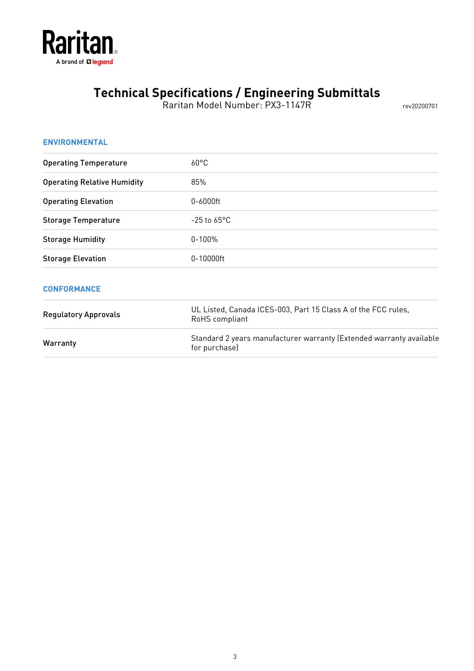

Raritan Model Number: PX3-1147R rev20200701

| <b>ENVIRONMENTAL</b>               |                                                                                      |
|------------------------------------|--------------------------------------------------------------------------------------|
| <b>Operating Temperature</b>       | $60^{\circ}$ C                                                                       |
| <b>Operating Relative Humidity</b> | 85%                                                                                  |
| <b>Operating Elevation</b>         | 0-6000ft                                                                             |
| <b>Storage Temperature</b>         | $-25$ to $65^{\circ}$ C                                                              |
| <b>Storage Humidity</b>            | $0 - 100%$                                                                           |
| <b>Storage Elevation</b>           | 0-10000ft                                                                            |
| <b>CONFORMANCE</b>                 |                                                                                      |
| <b>Regulatory Approvals</b>        | UL Listed, Canada ICES-003, Part 15 Class A of the FCC rules,<br>RoHS compliant      |
| Warranty                           | Standard 2 years manufacturer warranty (Extended warranty available<br>for purchase) |
|                                    |                                                                                      |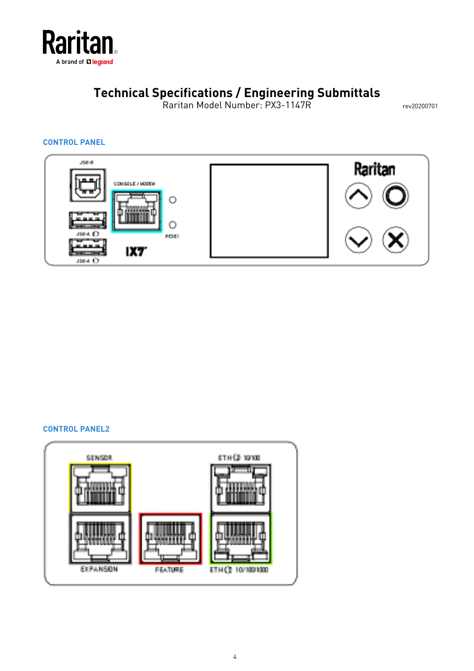

Raritan Model Number: PX3-1147R rev20200701

#### **CONTROL PANEL**



#### **CONTROL PANEL2**

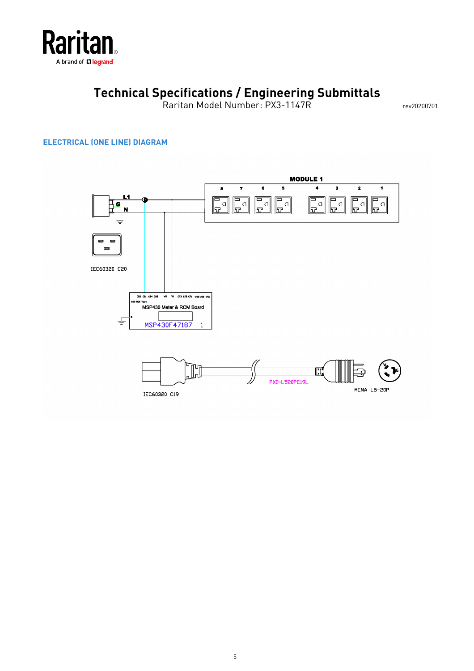

Raritan Model Number: PX3-1147R rev20200701

#### **ELECTRICAL (ONE LINE) DIAGRAM**

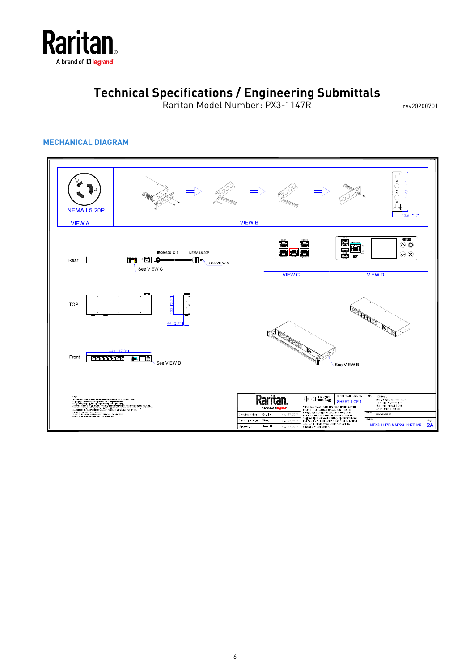

Raritan Model Number: PX3-1147R rev20200701

#### **MECHANICAL DIAGRAM**